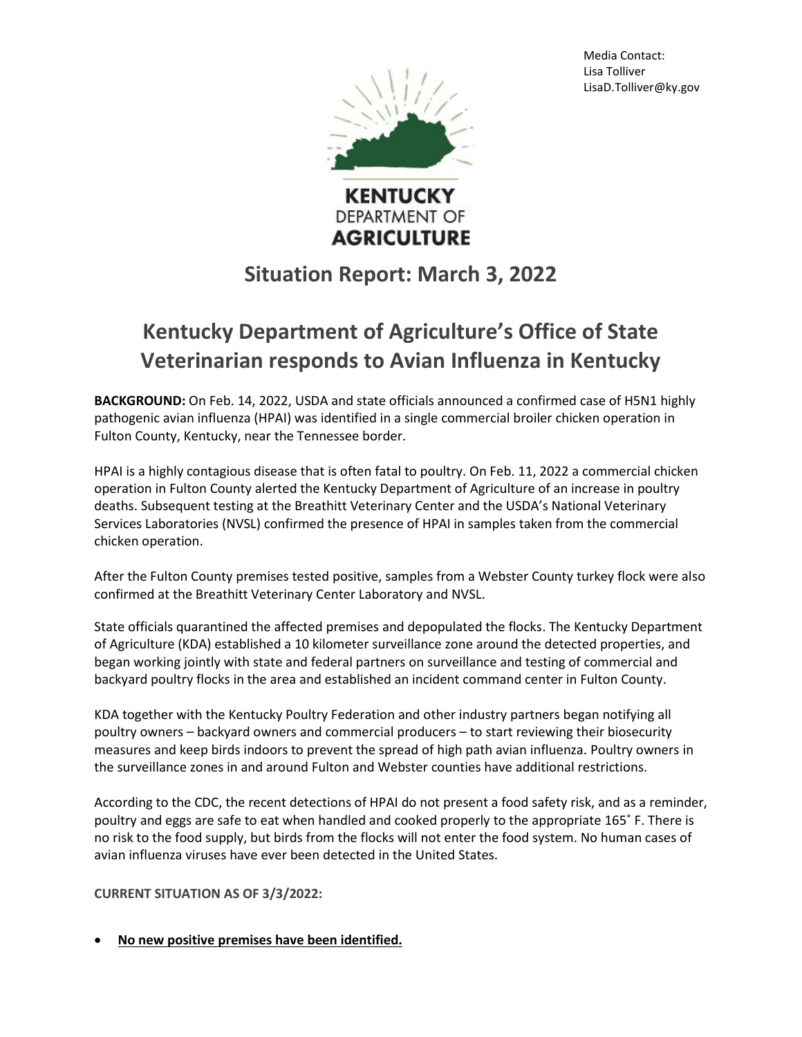Media Contact: Lisa Tolliver LisaD.Tolliver@ky.gov



**DEPARTMENT OF AGRICULTURE** 

## **Situation Report: March 3, 2022**

## **Kentucky Department of Agriculture's Office of State Veterinarian responds to Avian Influenza in Kentucky**

**BACKGROUND:** On Feb. 14, 2022, USDA and state officials announced a confirmed case of H5N1 highly pathogenic avian influenza (HPAI) was identified in a single commercial broiler chicken operation in Fulton County, Kentucky, near the Tennessee border.

HPAI is a highly contagious disease that is often fatal to poultry. On Feb. 11, 2022 a commercial chicken operation in Fulton County alerted the Kentucky Department of Agriculture of an increase in poultry deaths. Subsequent testing at the Breathitt Veterinary Center and the USDA's National Veterinary Services Laboratories (NVSL) confirmed the presence of HPAI in samples taken from the commercial chicken operation.

After the Fulton County premises tested positive, samples from a Webster County turkey flock were also confirmed at the Breathitt Veterinary Center Laboratory and NVSL.

State officials quarantined the affected premises and depopulated the flocks. The Kentucky Department of Agriculture (KDA) established a 10 kilometer surveillance zone around the detected properties, and began working jointly with state and federal partners on surveillance and testing of commercial and backyard poultry flocks in the area and established an incident command center in Fulton County.

KDA together with the Kentucky Poultry Federation and other industry partners began notifying all poultry owners – backyard owners and commercial producers – to start reviewing their biosecurity measures and keep birds indoors to prevent the spread of high path avian influenza. Poultry owners in the surveillance zones in and around Fulton and Webster counties have additional restrictions.

According to the CDC, the recent detections of HPAI do not present a food safety risk, and as a reminder, poultry and eggs are safe to eat when handled and cooked properly to the appropriate 165˚ F. There is no risk to the food supply, but birds from the flocks will not enter the food system. No human cases of avian influenza viruses have ever been detected in the United States.

## **CURRENT SITUATION AS OF 3/3/2022:**

**No new positive premises have been identified.**